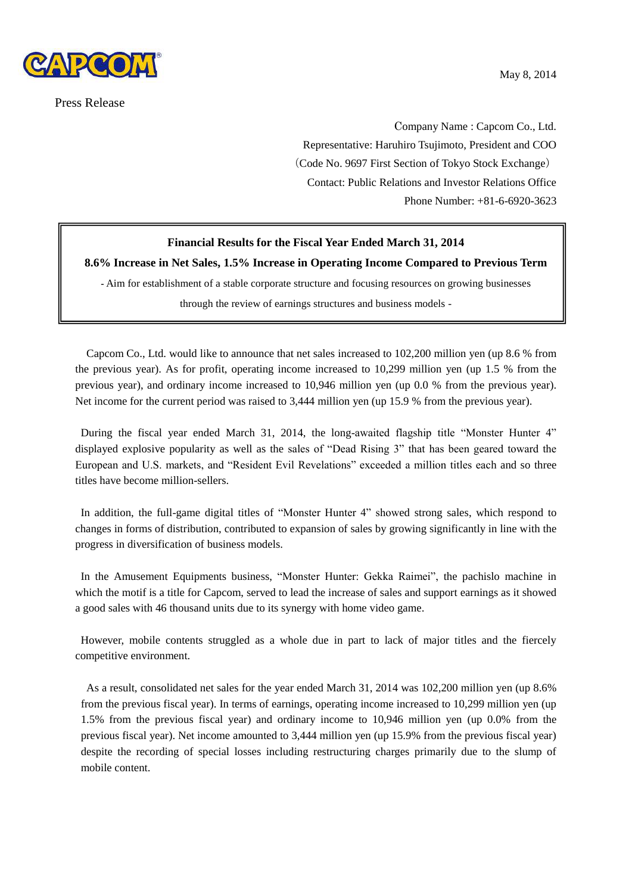

Press Release

Company Name : Capcom Co., Ltd. Representative: Haruhiro Tsujimoto, President and COO (Code No. 9697 First Section of Tokyo Stock Exchange) Contact: Public Relations and Investor Relations Office Phone Number: +81-6-6920-3623

# **Financial Results for the Fiscal Year Ended March 31, 2014**

**8.6% Increase in Net Sales, 1.5% Increase in Operating Income Compared to Previous Term**

**-** Aim for establishment of a stable corporate structure and focusing resources on growing businesses

through the review of earnings structures and business models -

Capcom Co., Ltd. would like to announce that net sales increased to 102,200 million yen (up 8.6 % from the previous year). As for profit, operating income increased to 10,299 million yen (up 1.5 % from the previous year), and ordinary income increased to 10,946 million yen (up 0.0 % from the previous year). Net income for the current period was raised to 3,444 million yen (up 15.9 % from the previous year).

During the fiscal year ended March 31, 2014, the long-awaited flagship title "Monster Hunter 4" displayed explosive popularity as well as the sales of "Dead Rising 3" that has been geared toward the European and U.S. markets, and "Resident Evil Revelations" exceeded a million titles each and so three titles have become million-sellers.

In addition, the full-game digital titles of "Monster Hunter 4" showed strong sales, which respond to changes in forms of distribution, contributed to expansion of sales by growing significantly in line with the progress in diversification of business models.

In the Amusement Equipments business, "Monster Hunter: Gekka Raimei", the pachislo machine in which the motif is a title for Capcom, served to lead the increase of sales and support earnings as it showed a good sales with 46 thousand units due to its synergy with home video game.

However, mobile contents struggled as a whole due in part to lack of major titles and the fiercely competitive environment.

As a result, consolidated net sales for the year ended March 31, 2014 was 102,200 million yen (up 8.6% from the previous fiscal year). In terms of earnings, operating income increased to 10,299 million yen (up 1.5% from the previous fiscal year) and ordinary income to 10,946 million yen (up 0.0% from the previous fiscal year). Net income amounted to 3,444 million yen (up 15.9% from the previous fiscal year) despite the recording of special losses including restructuring charges primarily due to the slump of mobile content.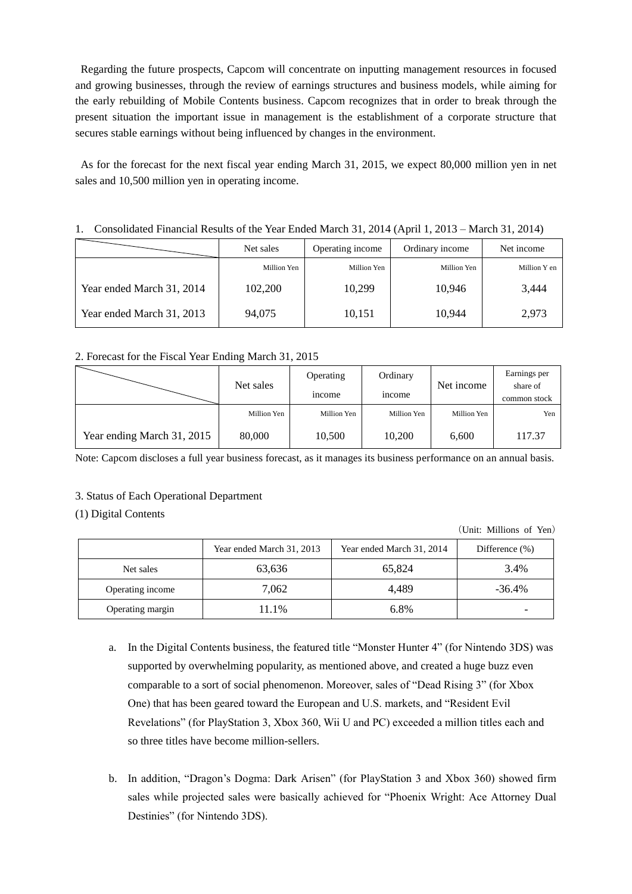Regarding the future prospects, Capcom will concentrate on inputting management resources in focused and growing businesses, through the review of earnings structures and business models, while aiming for the early rebuilding of Mobile Contents business. Capcom recognizes that in order to break through the present situation the important issue in management is the establishment of a corporate structure that secures stable earnings without being influenced by changes in the environment.

As for the forecast for the next fiscal year ending March 31, 2015, we expect 80,000 million yen in net sales and 10,500 million yen in operating income.

## 1. Consolidated Financial Results of the Year Ended March 31, 2014 (April 1, 2013 – March 31, 2014)

|                           | Net sales   | Operating income | Ordinary income | Net income   |
|---------------------------|-------------|------------------|-----------------|--------------|
|                           | Million Yen | Million Yen      | Million Yen     | Million Y en |
| Year ended March 31, 2014 | 102,200     | 10,299           | 10.946          | 3,444        |
| Year ended March 31, 2013 | 94,075      | 10,151           | 10.944          | 2,973        |

## 2. Forecast for the Fiscal Year Ending March 31, 2015

|                            | Net sales   | Operating     | Ordinary      | Net income  | Earnings per<br>share of |
|----------------------------|-------------|---------------|---------------|-------------|--------------------------|
|                            |             | <i>n</i> come | <i>n</i> come |             | common stock             |
|                            | Million Yen | Million Yen   | Million Yen   | Million Yen | Yen                      |
| Year ending March 31, 2015 | 80,000      | 10,500        | 10,200        | 6,600       | 117.37                   |

Note: Capcom discloses a full year business forecast, as it manages its business performance on an annual basis.

## 3. Status of Each Operational Department

## (1) Digital Contents

(Unit: Millions of Yen)

|                  | Year ended March 31, 2013 | Year ended March 31, 2014 | Difference $(\%)$ |
|------------------|---------------------------|---------------------------|-------------------|
| Net sales        | 63,636                    | 65,824                    | 3.4%              |
| Operating income | 7,062                     | 4.489                     | $-36.4%$          |
| Operating margin | 11.1%                     | 6.8%                      |                   |

- a. In the Digital Contents business, the featured title "Monster Hunter 4" (for Nintendo 3DS) was supported by overwhelming popularity, as mentioned above, and created a huge buzz even comparable to a sort of social phenomenon. Moreover, sales of "Dead Rising 3" (for Xbox One) that has been geared toward the European and U.S. markets, and "Resident Evil Revelations" (for PlayStation 3, Xbox 360, Wii U and PC) exceeded a million titles each and so three titles have become million-sellers.
- b. In addition, "Dragon's Dogma: Dark Arisen" (for PlayStation 3 and Xbox 360) showed firm sales while projected sales were basically achieved for "Phoenix Wright: Ace Attorney Dual Destinies" (for Nintendo 3DS).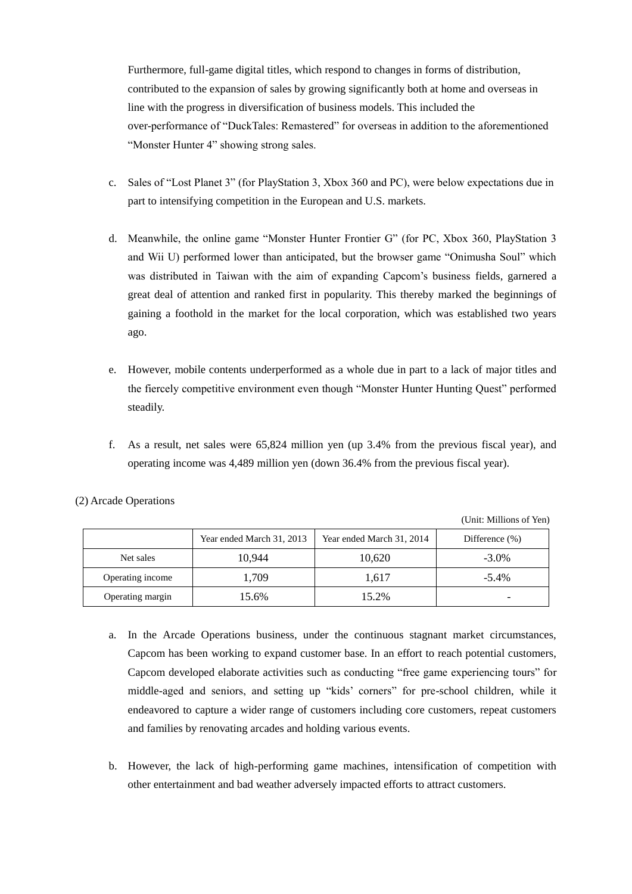Furthermore, full-game digital titles, which respond to changes in forms of distribution, contributed to the expansion of sales by growing significantly both at home and overseas in line with the progress in diversification of business models. This included the over-performance of "DuckTales: Remastered" for overseas in addition to the aforementioned "Monster Hunter 4" showing strong sales.

- c. Sales of "Lost Planet 3" (for PlayStation 3, Xbox 360 and PC), were below expectations due in part to intensifying competition in the European and U.S. markets.
- d. Meanwhile, the online game "Monster Hunter Frontier G" (for PC, Xbox 360, PlayStation 3 and Wii U) performed lower than anticipated, but the browser game "Onimusha Soul" which was distributed in Taiwan with the aim of expanding Capcom's business fields, garnered a great deal of attention and ranked first in popularity. This thereby marked the beginnings of gaining a foothold in the market for the local corporation, which was established two years ago.
- e. However, mobile contents underperformed as a whole due in part to a lack of major titles and the fiercely competitive environment even though "Monster Hunter Hunting Quest" performed steadily.
- f. As a result, net sales were 65,824 million yen (up 3.4% from the previous fiscal year), and operating income was 4,489 million yen (down 36.4% from the previous fiscal year).

|                  |                           |                           | (Unit: Millions of Yen) |
|------------------|---------------------------|---------------------------|-------------------------|
|                  | Year ended March 31, 2013 | Year ended March 31, 2014 | Difference $(\% )$      |
| Net sales        | 10.944                    | 10,620                    | $-3.0\%$                |
| Operating income | 1,709                     | 1,617                     | $-5.4\%$                |
| Operating margin | 15.6%                     | 15.2%                     |                         |

(2) Arcade Operations

a. In the Arcade Operations business, under the continuous stagnant market circumstances, Capcom has been working to expand customer base. In an effort to reach potential customers, Capcom developed elaborate activities such as conducting "free game experiencing tours" for middle-aged and seniors, and setting up "kids' corners" for pre-school children, while it endeavored to capture a wider range of customers including core customers, repeat customers and families by renovating arcades and holding various events.

b. However, the lack of high-performing game machines, intensification of competition with other entertainment and bad weather adversely impacted efforts to attract customers.